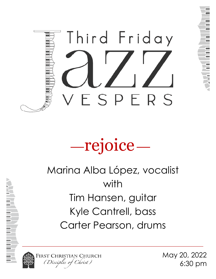

# —rejoice—

# Marina Alba López, vocalist with Tim Hansen, guitar Kyle Cantrell, bass Carter Pearson, drums



FIRST CHRISTIAN CHURCH (Disciples of Christ)

May 20, 2022 6:30 pm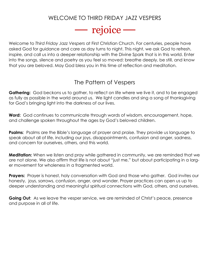# WELCOME TO THIRD FRIDAY JAZZ VESPERS



Welcome to *Third Friday Jazz Vespers* at First Christian Church. For centuries, people have asked God for guidance and care as day turns to night. This night, we ask God to refresh, inspire, and call us into a deeper relationship with the Divine Spark that is in this world. Enter into the songs, silence and poetry as you feel so moved: breathe deeply, be still, and know that you are beloved. May God bless you in this time of reflection and meditation.

# The Pattern of Vespers

**Gathering:** God beckons us to gather, to reflect on life where we live it, and to be engaged as fully as possible in the world around us. We light candles and sing a song of thanksgiving for God's bringing light into the darkness of our lives.

**Word:** God continues to communicate through words of wisdom, encouragement, hope, and challenge spoken throughout the ages by God's beloved children.

**Psalms**: Psalms are the Bible's language of prayer and praise. They provide us language to speak about all of life, including our joys, disappointments, confusion and anger, sadness, and concern for ourselves, others, and this world.

**Meditation:** When we listen and pray while gathered in community, we are reminded that we are not alone. We also affirm that life is not about "just me," but about participating in a larger movement for wholeness in a fragmented world.

**Prayers:** Prayer is honest, holy conversation with God and those who gather. God invites our honesty, joys, sorrows, confusion, anger, and wonder. Prayer practices can open us up to deeper understanding and meaningful spiritual connections with God, others, and ourselves.

**Going Out**: As we leave the vesper service, we are reminded of Christ's peace, presence and purpose in all of life.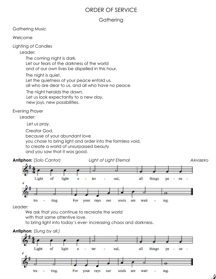# ORDER OF SERVICE

### **Gathering**

Gathering Music

Welcome

Lighting of Candles

Leader:

The coming night is dark. Let our fears of the darkness of the world

and of our own lives be dispelled in this hour.

The night is quiet.

Let the quietness of your peace enfold us,

all who are dear to us, and all who have no peace.

The night heralds the dawn.

 Let us look expectantly to a new day, new joys, new possibilities.

Evening Prayer

Leader:

Let us pray.

Creator God,

because of your abundant love

you chose to bring light and order into the formless void,

to create a world of unsurpassed beauty

and you saw that it was good.



Leader:

We ask that you continue to recreate the world

with that same attentive love,

to bring light into today's ever- increasing chaos and darkness.



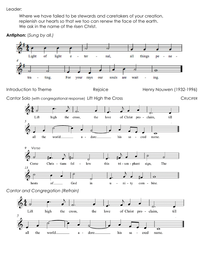Leader:

Where we have failed to be stewards and caretakers of your creation, replenish our hearts so that we too can renew the face of the earth. We ask in the name of the risen Christ.

**Antiphon:** (*Sung by all.)*

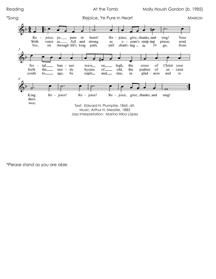

\*Please stand as you are able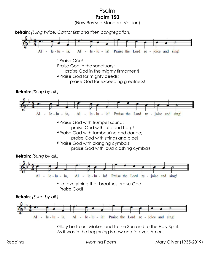Psalm **Psalm 150** 

(New Revised Standard Version)



Reading Morning Poem Mary Oliver (1935-2019)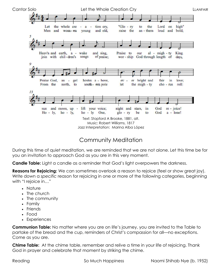

# Community Meditation

During this time of quiet meditation, we are reminded that we are not alone. Let this time be for you an invitation to approach God as you are in this very moment.

**Candle Table:** Light a candle as a reminder that God's light overpowers the darkness.

Reasons for Rejoicing: We can sometimes overlook a reason to rejoice (feel or show great joy). Write down a *specific* reason for rejoicing in one or more of the following categories, beginning with "I rejoice in…"

- Nature
- The church
- The community
- Family
- Friends
- Food
- Experiences

**Communion Table:** No matter where you are on life's journey, you are invited to the Table to partake of the bread and the cup, reminders of Christ's compassion for all—no exceptions. Come as you are.

**Chime Table:** At the chime table, remember and relive a time in your life of rejoicing. Thank God in prayer and celebrate that moment by striking the chime.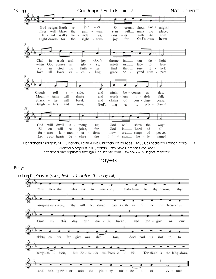

TEXT: Michael Morgan, 2011, admin. Faith Alive Christian Resources MUSIC: Medieval French carol, P.D Michael Morgan © 2011, admin*. Faith Alive Christian Resources.*  Streamed and reprinted through OneLicense.com. #A724866. All Rights Reserved.

Prayers

#### Prayer

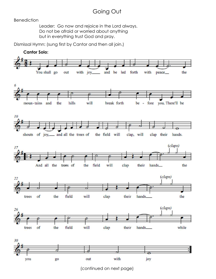# Going Out

#### **Benediction**

Leader: Go now and rejoice in the Lord always. Do not be afraid or worried about anything but in everything trust God and pray.

Dismissal Hymn: (sung first by Cantor and then all join.)



(continued on next page)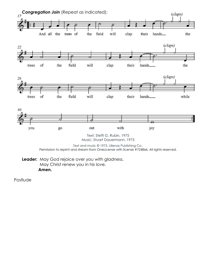

**Leader:** May God rejoice over you with gladness. May Christ renew you in his love. **Amen.** 

Postlude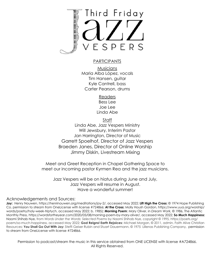

#### **PARTICIPANTS**

**Musicians** Maria Alba López, vocals Tim Hansen, guitar Kyle Cantrell, bass Carter Pearson, drums

> Readers Bess Lee Joe Lee Linda Abe

> > Staff

Linda Abe, Jazz Vespers Ministry Will Jewsbury, Interim Pastor Jan Harrington, Director of Music Garrett Spoelhof, Director of Jazz Vespers Braeden Janes, Director of Online Worship Jimmy Diskin, Livestream Mixing

Meet and Greet Reception in Chapel Gathering Space to meet our incoming pastor Kyrmen Rea and the jazz musicians.

Jazz Vespers will be on hiatus during June and July, Jazz Vespers will resume in August. Have a wonderful summer!

#### Acknowledgements and Sources:

**Joy:** Henry Nouwen, https://henrinouwen.org/meditations/joy-2/, accessed May 2022; **Lift High the Cross:** © 1974 Hope Publishing Co, permission to stream from OneLicense with license #724866; **At the Cross:** Molly Housh Gordon, https://www.uua.org/worship/ words/poetry/holy-week-triptych, accessed May 2022; b. 1985); **Morning Poem**: Mary Oliver, in *Dream Work,* © 1986, The Atlantic Monthly Press, https://wordsfortheyear.com/2020/05/08/morning-poem-by-mary-oliver/, accessed May 2022; **So Much Happiness:**  Naomi Shihab Nye, from *Words Under the Words: Selected Poems* by Naomi Shihab Nye, copyright © 1995, https://poets.org/ poem/so-much-happiness, accessed May 2022; **God Reigns! Earth Rejoices:** Michael Morgan, © 2011, admin. Faith Alive Christian Resources; **You Shall Go Out With Joy:** Steffi Geiser Rubin and Stuart Dauermann, © 1975 Lillenas Publishing Company, permission to stream from OneLicense with license #724866.

Permission to podcast/stream the music in this service obtained from ONE LICENSE with license #A724866. All Rights Reserved.